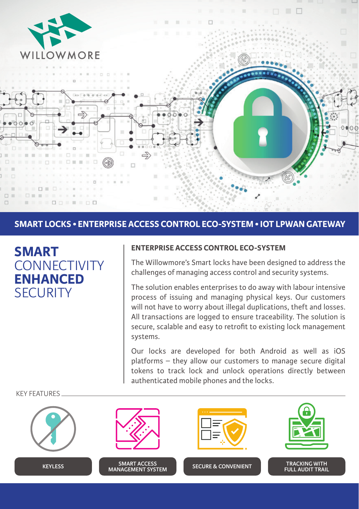

## **SMART LOCKS • ENTERPRISE ACCESS CONTROL ECO-SYSTEM • IOT LPWAN GATEWAY**



### **ENTERPRISE ACCESS CONTROL ECO-SYSTEM**

The Willowmore's Smart locks have been designed to address the challenges of managing access control and security systems.

The solution enables enterprises to do away with labour intensive process of issuing and managing physical keys. Our customers will not have to worry about illegal duplications, theft and losses. All transactions are logged to ensure traceability. The solution is secure, scalable and easy to retrofit to existing lock management systems.

Our locks are developed for both Android as well as iOS platforms – they allow our customers to manage secure digital tokens to track lock and unlock operations directly between authenticated mobile phones and the locks.

**KEYLESS SMART ACCESS SMART ACCESS MANAGEMENT SYSTEM SECURE & CONVENIENT TRACKING WITH FULL AUDIT TRAIL**

KEY FEATURES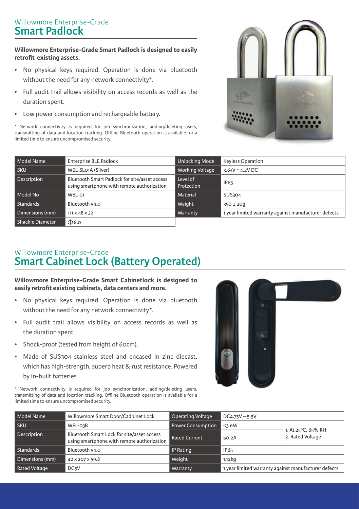# Willowmore Enterprise-Grade **Smart Padlock**

### **Willowmore Enterprise-Grade Smart Padlock is designed to easily retrofit existing assets.**

- No physical keys required. Operation is done via bluetooth without the need for any network connectivity\*.
- Full audit trail allows visibility on access records as well as the duration spent.
- Low power consumption and rechargeable battery.

\* Network connectivity is required for job synchronization, adding/deleting users, transmitting of data and location tracking. Offline Bluetooth operation is available for a limited time to ensure uncompromised security.



| Model Name       | <b>Enterprise BLE Padlock</b>                                                               | <b>Unlocking Mode</b>  | <b>Keyless Operation</b>                             |
|------------------|---------------------------------------------------------------------------------------------|------------------------|------------------------------------------------------|
| l sku            | WEL-SLO1A (Silver)                                                                          | Working Voltage        | $3.63V - 4.2V$ DC                                    |
| Description      | Bluetooth Smart Padlock for site/asset access<br>using smartphone with remote authorization | Level of<br>Protection | <b>IP65</b>                                          |
| Model No         | WEL-01                                                                                      | Material               | SUS304                                               |
| Standards        | Bluetooth v4.0                                                                              | Weight                 | $350 \pm 200$                                        |
| Dimensions (mm)  | 111 x 48 x 32                                                                               | Warranty               | 1 year limited warranty against manufacturer defects |
| Shackle Diameter | $\Phi$ 8.0                                                                                  |                        |                                                      |

# Willowmore Enterprise-Grade **Smart Cabinet Lock (Battery Operated)**

### **Willowmore Enterprise-Grade Smart Cabinetlock is designed to easily retrofit existing cabinets, data centers and more.**

- No physical keys required. Operation is done via bluetooth without the need for any network connectivity\*.
- Full audit trail allows visibility on access records as well as the duration spent.
- Shock-proof (tested from height of 60cm).
- Made of SUS304 stainless steel and encased in zinc diecast, which has high-strength, superb heat & rust resistance. Powered by in-built batteries.

\* Network connectivity is required for job synchronization, adding/deleting users, transmitting of data and location tracking. Offline Bluetooth operation is available for a limited time to ensure uncompromised security.



| Model Name      | Willowmore Smart Door/Cadbinet Lock                                                      | <b>Operating Voltage</b> | $DC4.75V - 5.5V$                                     |                                        |
|-----------------|------------------------------------------------------------------------------------------|--------------------------|------------------------------------------------------|----------------------------------------|
| <b>SKU</b>      | WEL-03B                                                                                  | <b>Power Consumption</b> | $\leq 3.6W$                                          | 1. At 25°C, 65% RH<br>2. Rated Voltage |
| Description     | Bluetooth Smart Lock for site/asset access<br>using smartphone with remote authorization | Rated Current            | SO.2A                                                |                                        |
| Standards       | Bluetooth v4.0                                                                           | <b>IP Rating</b>         | <b>IP65</b>                                          |                                        |
| Dimensions (mm) | 42 x 207 x 59.8                                                                          | Weight                   | $1.12k$ a                                            |                                        |
| Rated Voltage   | DC <sub>5</sub> V                                                                        | Warranty                 | 1 year limited warranty against manufacturer defects |                                        |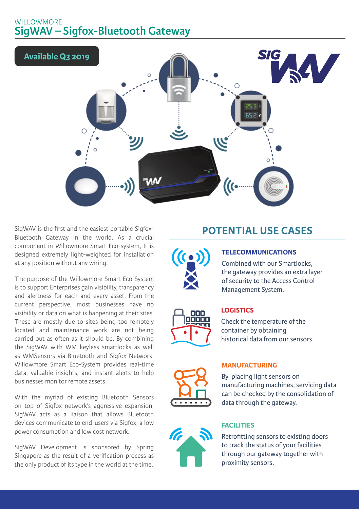# WILLOWMORE **SigWAV – Sigfox-Bluetooth Gateway**



SigWAV is the first and the easiest portable Sigfox-Bluetooth Gateway in the world. As a crucial component in Willowmore Smart Eco-system, It is designed extremely light-weighted for installation at any position without any wiring.

The purpose of the Willowmore Smart Eco-System is to support Enterprises gain visibility, transparency and alertness for each and every asset. From the current perspective, most businesses have no visibility or data on what is happening at their sites. These are mostly due to sites being too remotely located and maintenance work are not being carried out as often as it should be. By combining the SigWAV with WM keyless smartlocks as well as WMSensors via Bluetooth and Sigfox Network, Willowmore Smart Eco-System provides real-time data, valuable insights, and instant alerts to help businesses monitor remote assets.

With the myriad of existing Bluetooth Sensors on top of Sigfox network's aggressive expansion, SigWAV acts as a liaison that allows Bluetooth devices communicate to end-users via Sigfox, a low power consumption and low cost network.

SigWAV Development is sponsored by Spring Singapore as the result of a verification process as the only product of its type in the world at the time.

# **POTENTIAL USE CASES**



## **TELECOMMUNICATIONS**

Combined with our Smartlocks, the gateway provides an extra layer of security to the Access Control Management System.

### **LOGISTICS**

Check the temperature of the container by obtaining historical data from our sensors.

#### **MANUFACTURING**

By placing light sensors on manufacturing machines, servicing data can be checked by the consolidation of data through the gateway.

### **FACILITIES**

Retrofitting sensors to existing doors to track the status of your facilities through our gateway together with proximity sensors.